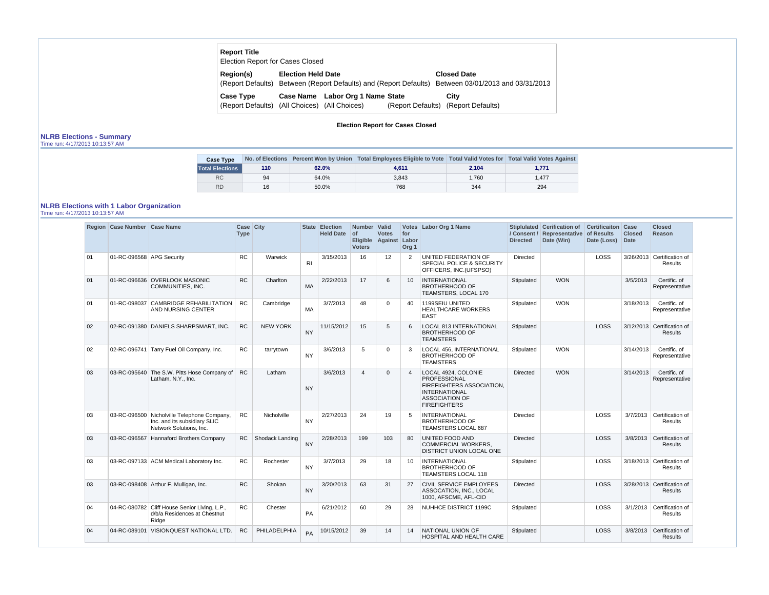| <b>Report Title</b><br><b>Election Report for Cases Closed</b>    |                           |                                  |                                                                                                         |
|-------------------------------------------------------------------|---------------------------|----------------------------------|---------------------------------------------------------------------------------------------------------|
| Region(s)<br>(Report Defaults)                                    | <b>Election Held Date</b> |                                  | <b>Closed Date</b><br>Between (Report Defaults) and (Report Defaults) Between 03/01/2013 and 03/31/2013 |
| <b>Case Type</b><br>(Report Defaults) (All Choices) (All Choices) |                           | Case Name Labor Org 1 Name State | City<br>(Report Defaults) (Report Defaults)                                                             |

**Election Report for Cases Closed**

## **NLRB Elections - Summary**

Time run: 4/17/2013 10:13:57 AM

| <b>Case Type</b>       |     |       | No. of Elections Percent Won by Union Total Employees Eligible to Vote Total Valid Votes for Total Valid Votes Against |       |       |
|------------------------|-----|-------|------------------------------------------------------------------------------------------------------------------------|-------|-------|
| <b>Total Elections</b> | 110 | 62.0% | 4.611                                                                                                                  | 2,104 | 1,771 |
| <b>RC</b>              | 94  | 64.0% | 3.843                                                                                                                  | 1.760 | 1.477 |
| <b>RD</b>              | 16  | 50.0% | 768                                                                                                                    | 344   | 294   |

## **NLRB Elections with 1 Labor Organization**

Time run: 4/17/2013 10:13:57 AM

|    | Region   Case Number   Case Name |                                                                                                        | Case City<br><b>Type</b> |                 |                | <b>State Election</b><br>Held Date of | Number Valid<br><b>Voters</b> | <b>Votes</b><br>Eligible Against Labor | for<br>Org <sub>1</sub> | Votes Labor Org 1 Name                                                                                                                          | <b>Directed</b> | Stiplulated Cerification of<br>/ Consent / Representative<br>Date (Win) | <b>Certificaiton Case</b><br>of Results<br>Date (Loss) | <b>Closed</b><br><b>Date</b> | <b>Closed</b><br><b>Reason</b>               |
|----|----------------------------------|--------------------------------------------------------------------------------------------------------|--------------------------|-----------------|----------------|---------------------------------------|-------------------------------|----------------------------------------|-------------------------|-------------------------------------------------------------------------------------------------------------------------------------------------|-----------------|-------------------------------------------------------------------------|--------------------------------------------------------|------------------------------|----------------------------------------------|
| 01 | 01-RC-096568 APG Security        |                                                                                                        | RC                       | Warwick         | R <sub>l</sub> | 3/15/2013                             | 16                            | 12                                     | 2                       | UNITED FEDERATION OF<br>SPECIAL POLICE & SECURITY<br>OFFICERS, INC. (UFSPSO)                                                                    | <b>Directed</b> |                                                                         | LOSS                                                   |                              | 3/26/2013 Certification of<br><b>Results</b> |
| 01 |                                  | 01-RC-096636 OVERLOOK MASONIC<br>COMMUNITIES, INC.                                                     | <b>RC</b>                | Charlton        | <b>MA</b>      | 2/22/2013                             | 17                            | 6                                      | 10 <sup>°</sup>         | <b>INTERNATIONAL</b><br><b>BROTHERHOOD OF</b><br>TEAMSTERS, LOCAL 170                                                                           | Stipulated      | <b>WON</b>                                                              |                                                        | 3/5/2013                     | Certific. of<br>Representative               |
| 01 |                                  | 01-RC-098037 CAMBRIDGE REHABILITATION<br>AND NURSING CENTER                                            | <b>RC</b>                | Cambridge       | <b>MA</b>      | 3/7/2013                              | 48                            | $\Omega$                               | 40                      | 1199SEIU UNITED<br><b>HEALTHCARE WORKERS</b><br><b>EAST</b>                                                                                     | Stipulated      | <b>WON</b>                                                              |                                                        | 3/18/2013                    | Certific. of<br>Representative               |
| 02 |                                  | 02-RC-091380 DANIELS SHARPSMART, INC.                                                                  | ${\sf RC}$               | <b>NEW YORK</b> | <b>NY</b>      | 11/15/2012                            | 15                            | 5                                      | 6                       | LOCAL 813 INTERNATIONAL<br><b>BROTHERHOOD OF</b><br><b>TEAMSTERS</b>                                                                            | Stipulated      |                                                                         | LOSS                                                   |                              | 3/12/2013 Certification of<br><b>Results</b> |
| 02 |                                  | 02-RC-096741 Tarry Fuel Oil Company, Inc.                                                              | RC.                      | tarrytown       | <b>NY</b>      | 3/6/2013                              | 5                             | $\Omega$                               | 3                       | LOCAL 456, INTERNATIONAL<br><b>BROTHERHOOD OF</b><br><b>TEAMSTERS</b>                                                                           | Stipulated      | <b>WON</b>                                                              |                                                        | 3/14/2013                    | Certific. of<br>Representative               |
| 03 |                                  | 03-RC-095640 The S.W. Pitts Hose Company of<br>Latham, N.Y., Inc.                                      | <b>RC</b>                | Latham          | <b>NY</b>      | 3/6/2013                              | $\overline{4}$                | $\Omega$                               | $\overline{4}$          | LOCAL 4924, COLONIE<br>PROFESSIONAL<br><b>FIREFIGHTERS ASSOCIATION.</b><br><b>INTERNATIONAL</b><br><b>ASSOCIATION OF</b><br><b>FIREFIGHTERS</b> | <b>Directed</b> | <b>WON</b>                                                              |                                                        | 3/14/2013                    | Certific. of<br>Representative               |
| 03 |                                  | 03-RC-096500 Nicholville Telephone Company,<br>Inc. and its subsidiary SLIC<br>Network Solutions, Inc. | <b>RC</b>                | Nicholville     | <b>NY</b>      | 2/27/2013                             | 24                            | 19                                     | -5                      | <b>INTERNATIONAL</b><br><b>BROTHERHOOD OF</b><br><b>TEAMSTERS LOCAL 687</b>                                                                     | <b>Directed</b> |                                                                         | <b>LOSS</b>                                            |                              | 3/7/2013 Certification of<br><b>Results</b>  |
| 03 |                                  | 03-RC-096567 Hannaford Brothers Company                                                                | <b>RC</b>                | Shodack Landing | <b>NY</b>      | 2/28/2013                             | 199                           | 103                                    | 80                      | UNITED FOOD AND<br><b>COMMERCIAL WORKERS,</b><br>DISTRICT UNION LOCAL ONE                                                                       | <b>Directed</b> |                                                                         | LOSS                                                   | 3/8/2013                     | Certification of<br><b>Results</b>           |
| 03 |                                  | 03-RC-097133 ACM Medical Laboratory Inc.                                                               | RC                       | Rochester       | <b>NY</b>      | 3/7/2013                              | 29                            | 18                                     | 10                      | <b>INTERNATIONAL</b><br><b>BROTHERHOOD OF</b><br>TEAMSTERS LOCAL 118                                                                            | Stipulated      |                                                                         | LOSS                                                   |                              | 3/18/2013 Certification of<br><b>Results</b> |
| 03 |                                  | 03-RC-098408 Arthur F. Mulligan, Inc.                                                                  | <b>RC</b>                | Shokan          | <b>NY</b>      | 3/20/2013                             | 63                            | 31                                     | 27                      | CIVIL SERVICE EMPLOYEES<br>ASSOCATION, INC., LOCAL<br>1000, AFSCME, AFL-CIO                                                                     | <b>Directed</b> |                                                                         | <b>LOSS</b>                                            |                              | 3/28/2013 Certification of<br><b>Results</b> |
| 04 |                                  | 04-RC-080782 Cliff House Senior Living, L.P.,<br>d/b/a Residences at Chestnut<br>Ridge                 | RC                       | Chester         | PA             | 6/21/2012                             | 60                            | 29                                     | 28                      | NUHHCE DISTRICT 1199C                                                                                                                           | Stipulated      |                                                                         | LOSS                                                   | 3/1/2013                     | Certification of<br><b>Results</b>           |
| 04 |                                  | 04-RC-089101 VISIONQUEST NATIONAL LTD.                                                                 | <b>RC</b>                | PHILADELPHIA    | PA             | 10/15/2012                            | 39                            | 14                                     | 14                      | NATIONAL UNION OF<br>HOSPITAL AND HEALTH CARE                                                                                                   | Stipulated      |                                                                         | LOSS                                                   |                              | 3/8/2013 Certification of<br><b>Results</b>  |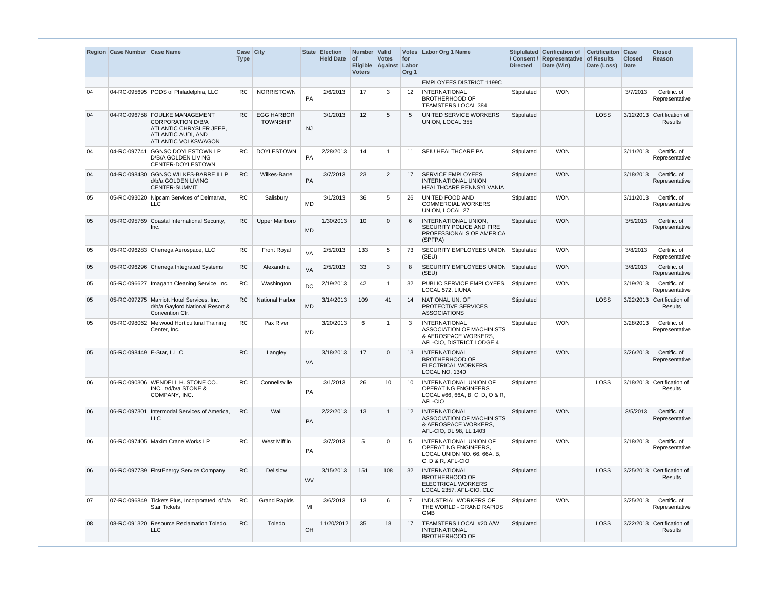|    | Region Case Number Case Name |                                                                                                                                    | Case City<br><b>Type</b> |                                      |           | <b>State Election</b><br><b>Held Date</b> | Number   Valid<br>  of<br><b>Voters</b> | <b>Votes</b><br>Eligible Against | for<br>Labor<br>Org <sub>1</sub> | Votes Labor Org 1 Name                                                                                    | <b>Directed</b> | Stiplulated Cerification of<br>/ Consent / Representative of Results<br>Date (Win) | <b>Certificaiton Case</b><br>Date (Loss) | <b>Closed</b><br><b>Date</b> | <b>Closed</b><br>Reason                      |
|----|------------------------------|------------------------------------------------------------------------------------------------------------------------------------|--------------------------|--------------------------------------|-----------|-------------------------------------------|-----------------------------------------|----------------------------------|----------------------------------|-----------------------------------------------------------------------------------------------------------|-----------------|------------------------------------------------------------------------------------|------------------------------------------|------------------------------|----------------------------------------------|
|    |                              |                                                                                                                                    |                          |                                      |           |                                           |                                         |                                  |                                  | <b>EMPLOYEES DISTRICT 1199C</b>                                                                           |                 |                                                                                    |                                          |                              |                                              |
| 04 |                              | 04-RC-095695 PODS of Philadelphia, LLC                                                                                             | <b>RC</b>                | <b>NORRISTOWN</b>                    | PA        | 2/6/2013                                  | 17                                      | 3                                | 12                               | <b>INTERNATIONAL</b><br><b>BROTHERHOOD OF</b><br><b>TEAMSTERS LOCAL 384</b>                               | Stipulated      | <b>WON</b>                                                                         |                                          | 3/7/2013                     | Certific. of<br>Representative               |
| 04 |                              | 04-RC-096758 FOULKE MANAGEMENT<br><b>CORPORATION D/B/A</b><br>ATLANTIC CHRYSLER JEEP,<br>ATLANTIC AUDI, AND<br>ATLANTIC VOLKSWAGON | <b>RC</b>                | <b>EGG HARBOR</b><br><b>TOWNSHIP</b> | <b>NJ</b> | 3/1/2013                                  | 12                                      | 5                                | $5\overline{)}$                  | UNITED SERVICE WORKERS<br>UNION, LOCAL 355                                                                | Stipulated      |                                                                                    | <b>LOSS</b>                              |                              | 3/12/2013 Certification of<br><b>Results</b> |
| 04 | 04-RC-097741                 | GGNSC DOYLESTOWN LP<br>D/B/A GOLDEN LIVING<br>CENTER-DOYLESTOWN                                                                    | <b>RC</b>                | <b>DOYLESTOWN</b>                    | <b>PA</b> | 2/28/2013                                 | 14                                      | -1                               | 11                               | SEIU HEALTHCARE PA                                                                                        | Stipulated      | <b>WON</b>                                                                         |                                          | 3/11/2013                    | Certific, of<br>Representative               |
| 04 |                              | 04-RC-098430 GGNSC WILKES-BARRE II LP<br>d/b/a GOLDEN LIVING<br><b>CENTER-SUMMIT</b>                                               | <b>RC</b>                | <b>Wilkes-Barre</b>                  | <b>PA</b> | 3/7/2013                                  | 23                                      | $\overline{2}$                   | 17                               | <b>SERVICE EMPLOYEES</b><br><b>INTERNATIONAL UNION</b><br><b>HEALTHCARE PENNSYLVANIA</b>                  | Stipulated      | <b>WON</b>                                                                         |                                          | 3/18/2013                    | Certific. of<br>Representative               |
| 05 |                              | 05-RC-093020 Nipcam Services of Delmarva,<br><b>LLC</b>                                                                            | <b>RC</b>                | Salisbury                            | <b>MD</b> | 3/1/2013                                  | 36                                      | 5                                | 26                               | UNITED FOOD AND<br><b>COMMERCIAL WORKERS</b><br>UNION, LOCAL 27                                           | Stipulated      | <b>WON</b>                                                                         |                                          | 3/11/2013                    | Certific. of<br>Representative               |
| 05 | 05-RC-095769                 | Coastal International Security,<br>Inc.                                                                                            | <b>RC</b>                | Upper Marlboro                       | <b>MD</b> | 1/30/2013                                 | 10                                      | $\mathbf{0}$                     | 6                                | INTERNATIONAL UNION,<br>SECURITY POLICE AND FIRE<br>PROFESSIONALS OF AMERICA<br>(SPFPA)                   | Stipulated      | <b>WON</b>                                                                         |                                          | 3/5/2013                     | Certific. of<br>Representative               |
| 05 |                              | 05-RC-096283 Chenega Aerospace, LLC                                                                                                | RC.                      | <b>Front Royal</b>                   | <b>VA</b> | 2/5/2013                                  | 133                                     | 5                                | 73                               | SECURITY EMPLOYEES UNION Stipulated<br>(SEU)                                                              |                 | <b>WON</b>                                                                         |                                          | 3/8/2013                     | Certific, of<br>Representative               |
| 05 |                              | 05-RC-096296 Chenega Integrated Systems                                                                                            | <b>RC</b>                | Alexandria                           | VA        | 2/5/2013                                  | 33                                      | 3                                | 8                                | SECURITY EMPLOYEES UNION Stipulated<br>(SEU)                                                              |                 | <b>WON</b>                                                                         |                                          | 3/8/2013                     | Certific. of<br>Representative               |
| 05 |                              | 05-RC-096627   Imagann Cleaning Service, Inc.                                                                                      | RC                       | Washington                           | <b>DC</b> | 2/19/2013                                 | 42                                      | -1                               | 32                               | PUBLIC SERVICE EMPLOYEES,<br>LOCAL 572, LIUNA                                                             | Stipulated      | <b>WON</b>                                                                         |                                          | 3/19/2013                    | Certific. of<br>Representative               |
| 05 |                              | 05-RC-097275   Marriott Hotel Services, Inc.<br>d/b/a Gaylord National Resort &<br>Convention Ctr.                                 | <b>RC</b>                | <b>National Harbor</b>               | <b>MD</b> | 3/14/2013                                 | 109                                     | 41                               | 14                               | NATIONAL UN. OF<br>PROTECTIVE SERVICES<br><b>ASSOCIATIONS</b>                                             | Stipulated      |                                                                                    | LOSS                                     |                              | 3/22/2013 Certification of<br>Results        |
| 05 |                              | 05-RC-098062 Melwood Horticultural Training<br>Center, Inc.                                                                        | <b>RC</b>                | Pax River                            | <b>MD</b> | 3/20/2013                                 | 6                                       | -1                               | 3                                | <b>INTERNATIONAL</b><br>ASSOCIATION OF MACHINISTS<br>& AEROSPACE WORKERS.<br>AFL-CIO, DISTRICT LODGE 4    | Stipulated      | <b>WON</b>                                                                         |                                          | 3/28/2013                    | Certific, of<br>Representative               |
| 05 | 05-RC-098449 E-Star, L.L.C.  |                                                                                                                                    | <b>RC</b>                | Langley                              | VA        | 3/18/2013                                 | 17                                      | $\mathbf{0}$                     | 13                               | <b>INTERNATIONAL</b><br><b>BROTHERHOOD OF</b><br>ELECTRICAL WORKERS,<br>LOCAL NO. 1340                    | Stipulated      | <b>WON</b>                                                                         |                                          | 3/26/2013                    | Certific. of<br>Representative               |
| 06 |                              | 06-RC-090306   WENDELL H. STONE CO.,<br>INC., t/d/b/a STONE &<br>COMPANY, INC.                                                     | <b>RC</b>                | Connellsville                        | PA        | 3/1/2013                                  | 26                                      | 10                               | 10                               | INTERNATIONAL UNION OF<br>OPERATING ENGINEERS<br>LOCAL #66, 66A, B, C, D, O & R,<br>AFL-CIO               | Stipulated      |                                                                                    | <b>LOSS</b>                              |                              | 3/18/2013 Certification of<br>Results        |
| 06 |                              | 06-RC-097301 Intermodal Services of America,<br><b>LLC</b>                                                                         | <b>RC</b>                | Wall                                 | PA        | 2/22/2013                                 | 13                                      | -1                               | 12 <sup>°</sup>                  | <b>INTERNATIONAL</b><br>ASSOCIATION OF MACHINISTS<br>& AEROSPACE WORKERS,<br>AFL-CIO, DL 98, LL 1403      | Stipulated      | <b>WON</b>                                                                         |                                          | 3/5/2013                     | Certific. of<br>Representative               |
| 06 |                              | 06-RC-097405   Maxim Crane Works LP                                                                                                | <b>RC</b>                | <b>West Mifflin</b>                  | PA        | 3/7/2013                                  | 5                                       | $\mathbf 0$                      | 5                                | INTERNATIONAL UNION OF<br><b>OPERATING ENGINEERS,</b><br>LOCAL UNION NO. 66, 66A. B,<br>C, D & R, AFL-CIO | Stipulated      | <b>WON</b>                                                                         |                                          | 3/18/2013                    | Certific. of<br>Representative               |
| 06 |                              | 06-RC-097739 FirstEnergy Service Company                                                                                           | <b>RC</b>                | <b>Dellslow</b>                      | <b>WV</b> | 3/15/2013                                 | 151                                     | 108                              | 32                               | INTERNATIONAL<br><b>BROTHERHOOD OF</b><br><b>ELECTRICAL WORKERS</b><br>LOCAL 2357, AFL-CIO, CLC           | Stipulated      |                                                                                    | <b>LOSS</b>                              |                              | 3/25/2013 Certification of<br>Results        |
| 07 |                              | 07-RC-096849 Tickets Plus, Incorporated, d/b/a<br><b>Star Tickets</b>                                                              | RC                       | <b>Grand Rapids</b>                  | MI        | 3/6/2013                                  | 13                                      | 6                                | 7                                | <b>INDUSTRIAL WORKERS OF</b><br>THE WORLD - GRAND RAPIDS<br>GMB                                           | Stipulated      | <b>WON</b>                                                                         |                                          | 3/25/2013                    | Certific. of<br>Representative               |
| 08 |                              | 08-RC-091320 Resource Reclamation Toledo,<br><b>LLC</b>                                                                            | RC                       | Toledo                               | OH        | 11/20/2012                                | 35                                      | 18                               | 17                               | TEAMSTERS LOCAL #20 A/W<br><b>INTERNATIONAL</b><br><b>BROTHERHOOD OF</b>                                  | Stipulated      |                                                                                    | <b>LOSS</b>                              |                              | 3/22/2013 Certification of<br>Results        |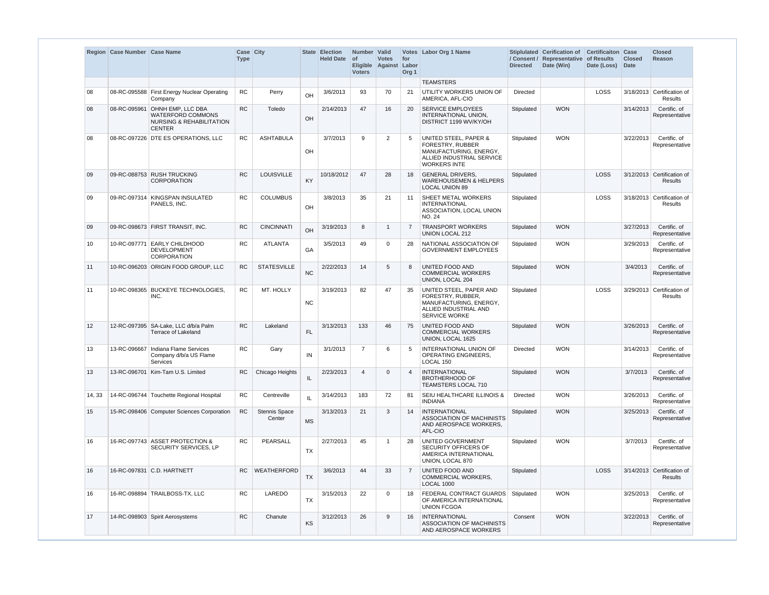|                 | Region   Case Number   Case Name |                                                                                                       | Case City<br><b>Type</b> |                                |           | <b>State Election</b><br><b>Held Date</b> | Number Valid<br>$ $ of<br><b>Voters</b> | <b>Votes</b><br>Eligible Against Labor | for<br>Org <sub>1</sub> | Votes   Labor Org 1 Name                                                                                                           | / Consent /<br><b>Directed</b> | Stiplulated Cerification of<br>Representative<br>Date (Win) | <b>Certificaiton Case</b><br>of Results<br>Date (Loss) | <b>Closed</b><br>Date | <b>Closed</b><br><b>Reason</b>               |
|-----------------|----------------------------------|-------------------------------------------------------------------------------------------------------|--------------------------|--------------------------------|-----------|-------------------------------------------|-----------------------------------------|----------------------------------------|-------------------------|------------------------------------------------------------------------------------------------------------------------------------|--------------------------------|-------------------------------------------------------------|--------------------------------------------------------|-----------------------|----------------------------------------------|
|                 |                                  |                                                                                                       |                          |                                |           |                                           |                                         |                                        |                         | <b>TEAMSTERS</b>                                                                                                                   |                                |                                                             |                                                        |                       |                                              |
| 08              |                                  | 08-RC-095588 First Energy Nuclear Operating<br>Company                                                | RC                       | Perry                          | OH        | 3/6/2013                                  | 93                                      | 70                                     | 21                      | UTILITY WORKERS UNION OF<br>AMERICA, AFL-CIO                                                                                       | Directed                       |                                                             | <b>LOSS</b>                                            |                       | 3/18/2013 Certification of<br><b>Results</b> |
| 08              | 08-RC-095961                     | <b>OHNH EMP, LLC DBA</b><br>WATERFORD COMMONS<br><b>NURSING &amp; REHABILITATION</b><br><b>CENTER</b> | RC                       | Toledo                         | OH        | 2/14/2013                                 | 47                                      | 16                                     | 20                      | <b>SERVICE EMPLOYEES</b><br>INTERNATIONAL UNION,<br>DISTRICT 1199 WV/KY/OH                                                         | Stipulated                     | <b>WON</b>                                                  |                                                        | 3/14/2013             | Certific. of<br>Representative               |
| 08              |                                  | 08-RC-097226 DTE ES OPERATIONS, LLC                                                                   | <b>RC</b>                | <b>ASHTABULA</b>               | OH        | 3/7/2013                                  | 9                                       | $\overline{2}$                         | -5                      | <b>UNITED STEEL, PAPER &amp;</b><br>FORESTRY, RUBBER<br>MANUFACTURING, ENERGY,<br>ALLIED INDUSTRIAL SERVICE<br><b>WORKERS INTE</b> | Stipulated                     | <b>WON</b>                                                  |                                                        | 3/22/2013             | Certific. of<br>Representative               |
| 09              |                                  | 09-RC-088753 RUSH TRUCKING<br><b>CORPORATION</b>                                                      | <b>RC</b>                | LOUISVILLE                     | <b>KY</b> | 10/18/2012                                | 47                                      | 28                                     | 18                      | <b>GENERAL DRIVERS,</b><br><b>WAREHOUSEMEN &amp; HELPERS</b><br><b>LOCAL UNION 89</b>                                              | Stipulated                     |                                                             | <b>LOSS</b>                                            |                       | 3/12/2013 Certification of<br><b>Results</b> |
| 09              |                                  | 09-RC-097314 KINGSPAN INSULATED<br>PANELS, INC.                                                       | <b>RC</b>                | <b>COLUMBUS</b>                | OH        | 3/8/2013                                  | 35                                      | 21                                     | 11                      | SHEET METAL WORKERS<br><b>INTERNATIONAL</b><br>ASSOCIATION, LOCAL UNION<br><b>NO. 24</b>                                           | Stipulated                     |                                                             | LOSS                                                   |                       | 3/18/2013 Certification of<br>Results        |
| 09              |                                  | 09-RC-098673 FIRST TRANSIT, INC.                                                                      | <b>RC</b>                | <b>CINCINNATI</b>              | OH        | 3/19/2013                                 | 8                                       | -1                                     | 7                       | <b>TRANSPORT WORKERS</b><br>UNION LOCAL 212                                                                                        | Stipulated                     | <b>WON</b>                                                  |                                                        | 3/27/2013             | Certific. of<br>Representative               |
| 10              |                                  | 10-RC-097771 EARLY CHILDHOOD<br><b>DEVELOPMENT</b><br><b>CORPORATION</b>                              | <b>RC</b>                | <b>ATLANTA</b>                 | GA        | 3/5/2013                                  | 49                                      | $\Omega$                               | 28                      | NATIONAL ASSOCIATION OF<br><b>GOVERNMENT EMPLOYEES</b>                                                                             | Stipulated                     | <b>WON</b>                                                  |                                                        | 3/29/2013             | Certific. of<br>Representative               |
| 11              |                                  | 10-RC-096203 ORIGIN FOOD GROUP, LLC                                                                   | <b>RC</b>                | <b>STATESVILLE</b>             | <b>NC</b> | 2/22/2013                                 | 14                                      | 5                                      | 8                       | UNITED FOOD AND<br><b>COMMERCIAL WORKERS</b><br>UNION, LOCAL 204                                                                   | Stipulated                     | <b>WON</b>                                                  |                                                        | 3/4/2013              | Certific. of<br>Representative               |
| 11              |                                  | 10-RC-098365 BUCKEYE TECHNOLOGIES.<br>INC.                                                            | <b>RC</b>                | MT. HOLLY                      | <b>NC</b> | 3/19/2013                                 | 82                                      | 47                                     | 35                      | UNITED STEEL, PAPER AND<br>FORESTRY, RUBBER,<br>MANUFACTURING, ENERGY,<br>ALLIED INDUSTRIAL AND<br><b>SERVICE WORKE</b>            | Stipulated                     |                                                             | LOSS                                                   |                       | 3/29/2013 Certification of<br>Results        |
| 12 <sup>2</sup> |                                  | 12-RC-097395   SA-Lake, LLC d/b/a Palm<br>Terrace of Lakeland                                         | <b>RC</b>                | Lakeland                       | <b>FL</b> | 3/13/2013                                 | 133                                     | 46                                     | 75                      | <b>UNITED FOOD AND</b><br><b>COMMERCIAL WORKERS</b><br>UNION, LOCAL 1625                                                           | Stipulated                     | <b>WON</b>                                                  |                                                        | 3/26/2013             | Certific. of<br>Representative               |
| 13              |                                  | 13-RC-096667   Indiana Flame Services<br>Company d/b/a US Flame<br>Services                           | <b>RC</b>                | Gary                           | IN        | 3/1/2013                                  | $\overline{7}$                          | 6                                      | 5                       | <b>INTERNATIONAL UNION OF</b><br>OPERATING ENGINEERS,<br>LOCAL 150                                                                 | Directed                       | <b>WON</b>                                                  |                                                        | 3/14/2013             | Certific. of<br>Representative               |
| 13              |                                  | 13-RC-096701 Kim-Tam U.S. Limited                                                                     | RC                       | Chicago Heights                | IL        | 2/23/2013                                 | $\overline{4}$                          | $\Omega$                               | $\overline{4}$          | <b>INTERNATIONAL</b><br><b>BROTHERHOOD OF</b><br>TEAMSTERS LOCAL 710                                                               | Stipulated                     | <b>WON</b>                                                  |                                                        | 3/7/2013              | Certific. of<br>Representative               |
| 14, 33          |                                  | 14-RC-096744 Touchette Regional Hospital                                                              | RC                       | Centreville                    | IL.       | 3/14/2013                                 | 183                                     | 72                                     | 81                      | SEIU HEALTHCARE ILLINOIS &<br><b>INDIANA</b>                                                                                       | Directed                       | <b>WON</b>                                                  |                                                        | 3/26/2013             | Certific. of<br>Representative               |
| 15              |                                  | 15-RC-098406 Computer Sciences Corporation                                                            | <b>RC</b>                | <b>Stennis Space</b><br>Center | <b>MS</b> | 3/13/2013                                 | 21                                      | 3                                      | 14                      | <b>INTERNATIONAL</b><br>ASSOCIATION OF MACHINISTS<br>AND AEROSPACE WORKERS,<br>AFL-CIO                                             | Stipulated                     | <b>WON</b>                                                  |                                                        | 3/25/2013             | Certific. of<br>Representative               |
| 16              |                                  | 16-RC-097743 ASSET PROTECTION &<br>SECURITY SERVICES, LP                                              | <b>RC</b>                | PEARSALL                       | <b>TX</b> | 2/27/2013                                 | 45                                      | $\mathbf 1$                            | 28                      | UNITED GOVERNMENT<br>SECURITY OFFICERS OF<br>AMERICA INTERNATIONAL<br>UNION, LOCAL 870                                             | Stipulated                     | <b>WON</b>                                                  |                                                        | 3/7/2013              | Certific. of<br>Representative               |
| 16              |                                  | 16-RC-097831 C.D. HARTNETT                                                                            | <b>RC</b>                | <b>WEATHERFORD</b>             | <b>TX</b> | 3/6/2013                                  | 44                                      | 33                                     | 7                       | <b>UNITED FOOD AND</b><br>COMMERCIAL WORKERS,<br><b>LOCAL 1000</b>                                                                 | Stipulated                     |                                                             | LOSS                                                   |                       | 3/14/2013 Certification of<br><b>Results</b> |
| 16              |                                  | 16-RC-098894   TRAILBOSS-TX, LLC                                                                      | RC.                      | LAREDO                         | <b>TX</b> | 3/15/2013                                 | 22                                      | $\mathbf 0$                            | 18                      | <b>FEDERAL CONTRACT GUARDS</b><br>OF AMERICA INTERNATIONAL<br><b>UNION FCGOA</b>                                                   | Stipulated                     | <b>WON</b>                                                  |                                                        | 3/25/2013             | Certific. of<br>Representative               |
| 17              |                                  | 14-RC-098903 Spirit Aerosystems                                                                       | <b>RC</b>                | Chanute                        | KS        | 3/12/2013                                 | 26                                      | 9                                      | 16                      | INTERNATIONAL<br>ASSOCIATION OF MACHINISTS<br>AND AEROSPACE WORKERS                                                                | Consent                        | <b>WON</b>                                                  |                                                        | 3/22/2013             | Certific. of<br>Representative               |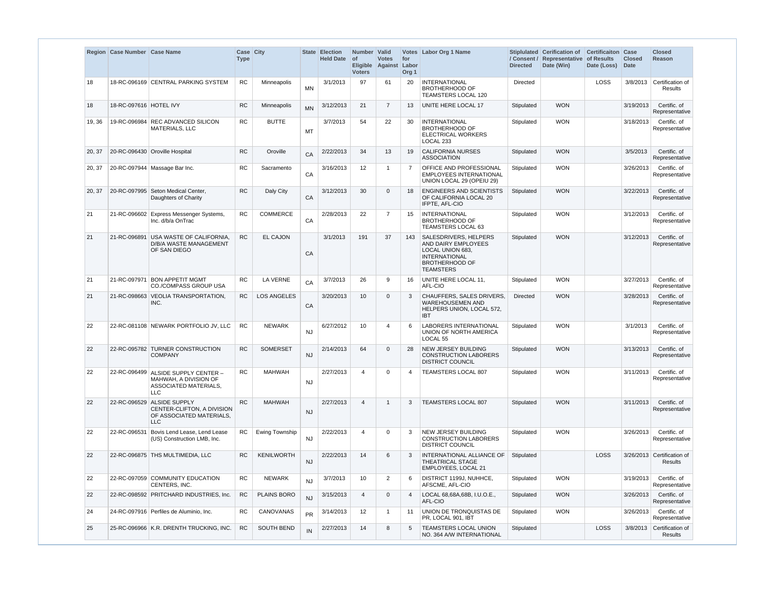|        | Region Case Number Case Name |                                                                                                    | Case City<br><b>Type</b> |                    |           | State Election<br><b>Held Date</b> | Number   Valid<br>$ $ of<br><b>Voters</b> | <b>Votes</b><br>Eligible Against Labor | for<br>Org <sub>1</sub> | Votes Labor Org 1 Name                                                                                                                | / Consent /<br><b>Directed</b> | Stiplulated Cerification of Certificaiton Case<br>Representative<br>Date (Win) | of Results<br>Date (Loss) | <b>Closed</b><br>Date | <b>Closed</b><br>Reason               |
|--------|------------------------------|----------------------------------------------------------------------------------------------------|--------------------------|--------------------|-----------|------------------------------------|-------------------------------------------|----------------------------------------|-------------------------|---------------------------------------------------------------------------------------------------------------------------------------|--------------------------------|--------------------------------------------------------------------------------|---------------------------|-----------------------|---------------------------------------|
| 18     |                              | 18-RC-096169 CENTRAL PARKING SYSTEM                                                                | <b>RC</b>                | Minneapolis        | MN        | 3/1/2013                           | 97                                        | 61                                     | 20                      | <b>INTERNATIONAL</b><br><b>BROTHERHOOD OF</b><br>TEAMSTERS LOCAL 120                                                                  | Directed                       |                                                                                | LOSS                      |                       | 3/8/2013 Certification of<br>Results  |
| 18     | 18-RC-097616 HOTEL IVY       |                                                                                                    | <b>RC</b>                | Minneapolis        | <b>MN</b> | 3/12/2013                          | 21                                        | $\overline{7}$                         | 13                      | UNITE HERE LOCAL 17                                                                                                                   | Stipulated                     | <b>WON</b>                                                                     |                           | 3/19/2013             | Certific. of<br>Representative        |
| 19, 36 |                              | 19-RC-096984 REC ADVANCED SILICON<br>MATERIALS, LLC                                                | RC                       | <b>BUTTE</b>       | МT        | 3/7/2013                           | 54                                        | 22                                     | 30                      | <b>INTERNATIONAL</b><br><b>BROTHERHOOD OF</b><br><b>ELECTRICAL WORKERS</b><br>LOCAL 233                                               | Stipulated                     | <b>WON</b>                                                                     |                           | 3/18/2013             | Certific. of<br>Representative        |
| 20, 37 |                              | 20-RC-096430 Oroville Hospital                                                                     | <b>RC</b>                | Oroville           | CA        | 2/22/2013                          | 34                                        | 13                                     | 19                      | <b>CALIFORNIA NURSES</b><br><b>ASSOCIATION</b>                                                                                        | Stipulated                     | <b>WON</b>                                                                     |                           | 3/5/2013              | Certific. of<br>Representative        |
| 20, 37 |                              | 20-RC-097944   Massage Bar Inc.                                                                    | <b>RC</b>                | Sacramento         | CA        | 3/16/2013                          | 12                                        | -1                                     | $\overline{7}$          | <b>OFFICE AND PROFESSIONAL</b><br><b>EMPLOYEES INTERNATIONAL</b><br>UNION LOCAL 29 (OPEIU 29)                                         | Stipulated                     | <b>WON</b>                                                                     |                           | 3/26/2013             | Certific. of<br>Representative        |
| 20, 37 |                              | 20-RC-097995 Seton Medical Center,<br>Daughters of Charity                                         | <b>RC</b>                | Daly City          | CA        | 3/12/2013                          | 30                                        | $\Omega$                               | 18                      | <b>ENGINEERS AND SCIENTISTS</b><br>OF CALIFORNIA LOCAL 20<br>IFPTE, AFL-CIO                                                           | Stipulated                     | <b>WON</b>                                                                     |                           | 3/22/2013             | Certific. of<br>Representative        |
| 21     |                              | 21-RC-096602 Express Messenger Systems,<br>Inc. d/b/a OnTrac                                       | <b>RC</b>                | <b>COMMERCE</b>    | CA        | 2/28/2013                          | 22                                        | $\overline{7}$                         | 15                      | <b>INTERNATIONAL</b><br><b>BROTHERHOOD OF</b><br>TEAMSTERS LOCAL 63                                                                   | Stipulated                     | <b>WON</b>                                                                     |                           | 3/12/2013             | Certific. of<br>Representative        |
| 21     |                              | 21-RC-096891 USA WASTE OF CALIFORNIA,<br><b>D/B/A WASTE MANAGEMENT</b><br>OF SAN DIEGO             | <b>RC</b>                | <b>EL CAJON</b>    | CA        | 3/1/2013                           | 191                                       | 37                                     | 143                     | SALESDRIVERS, HELPERS<br>AND DAIRY EMPLOYEES<br>LOCAL UNION 683,<br><b>INTERNATIONAL</b><br><b>BROTHERHOOD OF</b><br><b>TEAMSTERS</b> | Stipulated                     | <b>WON</b>                                                                     |                           | 3/12/2013             | Certific. of<br>Representative        |
| 21     |                              | 21-RC-097971 BON APPETIT MGMT<br><b>CO./COMPASS GROUP USA</b>                                      | <b>RC</b>                | <b>LA VERNE</b>    | CA        | 3/7/2013                           | 26                                        | 9                                      | 16                      | UNITE HERE LOCAL 11,<br>AFL-CIO                                                                                                       | Stipulated                     | <b>WON</b>                                                                     |                           | 3/27/2013             | Certific. of<br>Representative        |
| 21     | 21-RC-098663                 | <b>VEOLIA TRANSPORTATION,</b><br>INC.                                                              | <b>RC</b>                | <b>LOS ANGELES</b> | CA        | 3/20/2013                          | 10                                        | $\Omega$                               | 3                       | CHAUFFERS, SALES DRIVERS,<br><b>WAREHOUSEMEN AND</b><br>HELPERS UNION, LOCAL 572,<br>IBT.                                             | <b>Directed</b>                | <b>WON</b>                                                                     |                           | 3/28/2013             | Certific. of<br>Representative        |
| 22     |                              | 22-RC-081108 NEWARK PORTFOLIO JV, LLC                                                              | <b>RC</b>                | <b>NEWARK</b>      | NJ        | 6/27/2012                          | 10                                        | $\boldsymbol{\vartriangle}$            | 6                       | LABORERS INTERNATIONAL<br>UNION OF NORTH AMERICA<br>LOCAL <sub>55</sub>                                                               | Stipulated                     | <b>WON</b>                                                                     |                           | 3/1/2013              | Certific. of<br>Representative        |
| 22     |                              | 22-RC-095782 TURNER CONSTRUCTION<br><b>COMPANY</b>                                                 | <b>RC</b>                | <b>SOMERSET</b>    | <b>NJ</b> | 2/14/2013                          | 64                                        | $\Omega$                               | 28                      | NEW JERSEY BUILDING<br><b>CONSTRUCTION LABORERS</b><br><b>DISTRICT COUNCIL</b>                                                        | Stipulated                     | <b>WON</b>                                                                     |                           | 3/13/2013             | Certific. of<br>Representative        |
| 22     |                              | 22-RC-096499 ALSIDE SUPPLY CENTER -<br>MAHWAH, A DIVISION OF<br>ASSOCIATED MATERIALS,<br>LLC       | <b>RC</b>                | <b>MAHWAH</b>      | NJ        | 2/27/2013                          | $\overline{4}$                            | $\Omega$                               | 4                       | <b>TEAMSTERS LOCAL 807</b>                                                                                                            | Stipulated                     | <b>WON</b>                                                                     |                           | 3/11/2013             | Certific. of<br>Representative        |
| 22     |                              | 22-RC-096529 ALSIDE SUPPLY<br>CENTER-CLIFTON, A DIVISION<br>OF ASSOCIATED MATERIALS,<br><b>LLC</b> | <b>RC</b>                | <b>MAHWAH</b>      | <b>NJ</b> | 2/27/2013                          | $\overline{4}$                            | $\overline{1}$                         | 3                       | <b>TEAMSTERS LOCAL 807</b>                                                                                                            | Stipulated                     | <b>WON</b>                                                                     |                           | 3/11/2013             | Certific. of<br>Representative        |
| 22     | 22-RC-096531                 | Bovis Lend Lease, Lend Lease<br>(US) Construction LMB, Inc.                                        | RC                       | Ewing Township     | <b>NJ</b> | 2/22/2013                          | $\overline{4}$                            | $\Omega$                               | 3                       | NEW JERSEY BUILDING<br><b>CONSTRUCTION LABORERS</b><br><b>DISTRICT COUNCIL</b>                                                        | Stipulated                     | <b>WON</b>                                                                     |                           | 3/26/2013             | Certific. of<br>Representative        |
| 22     |                              | 22-RC-096875 THS MULTIMEDIA, LLC                                                                   | <b>RC</b>                | <b>KENILWORTH</b>  | <b>NJ</b> | 2/22/2013                          | 14                                        | 6                                      | 3                       | INTERNATIONAL ALLIANCE OF<br><b>THEATRICAL STAGE</b><br>EMPLOYEES, LOCAL 21                                                           | Stipulated                     |                                                                                | LOSS                      |                       | 3/26/2013 Certification of<br>Results |
| 22     |                              | 22-RC-097059 COMMUNITY EDUCATION<br>CENTERS, INC.                                                  | RC                       | <b>NEWARK</b>      | <b>NJ</b> | 3/7/2013                           | 10                                        | 2                                      | 6                       | DISTRICT 1199J, NUHHCE,<br>AFSCME, AFL-CIO                                                                                            | Stipulated                     | <b>WON</b>                                                                     |                           | 3/19/2013             | Certific. of<br>Representative        |
| 22     |                              | 22-RC-098592 PRITCHARD INDUSTRIES, Inc.                                                            | ${\sf RC}$               | PLAINS BORO        | <b>NJ</b> | 3/15/2013                          | $\overline{4}$                            | $\mathbf 0$                            | $\overline{4}$          | LOCAL 68,68A,68B, I.U.O.E.,<br>AFL-CIO                                                                                                | Stipulated                     | <b>WON</b>                                                                     |                           | 3/26/2013             | Certific. of<br>Representative        |
| 24     |                              | 24-RC-097916 Perfiles de Aluminio, Inc.                                                            | <b>RC</b>                | CANOVANAS          | <b>PR</b> | 3/14/2013                          | $12 \overline{ }$                         | $\overline{1}$                         | 11                      | UNION DE TRONQUISTAS DE<br>PR, LOCAL 901, IBT                                                                                         | Stipulated                     | <b>WON</b>                                                                     |                           | 3/26/2013             | Certific. of<br>Representative        |
| 25     |                              | 25-RC-096966 K.R. DRENTH TRUCKING, INC.                                                            | <b>RC</b>                | SOUTH BEND         | IN        | 2/27/2013                          | 14                                        | 8                                      | 5                       | <b>TEAMSTERS LOCAL UNION</b><br>NO. 364 A/W INTERNATIONAL                                                                             | Stipulated                     |                                                                                | <b>LOSS</b>               |                       | 3/8/2013 Certification of<br>Results  |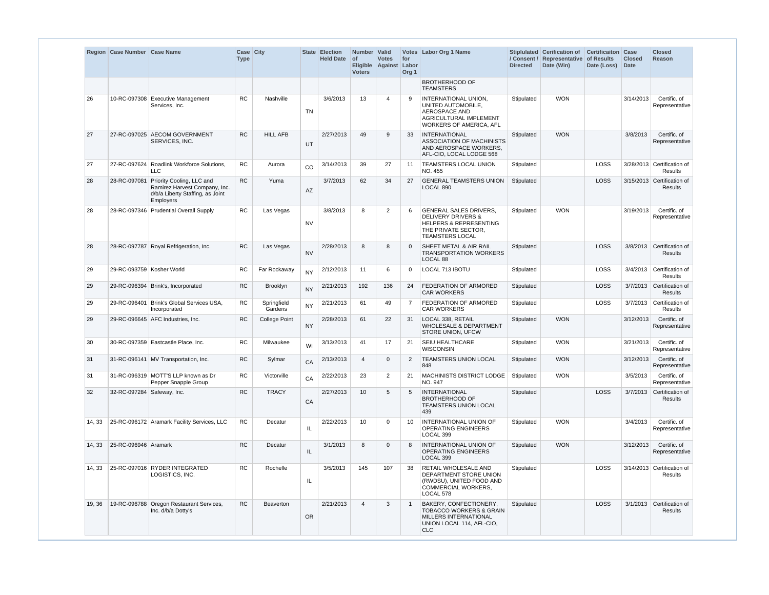|        | Region   Case Number   Case Name |                                                                                                             | Case City<br><b>Type</b> |                        |           | State Election<br><b>Held Date</b> | Number Valid<br><b>of</b><br><b>Voters</b> | <b>Votes</b><br>Eligible Against | for<br>Labor<br>Org <sub>1</sub> | Votes Labor Org 1 Name                                                                                                                               | / Consent /<br><b>Directed</b> | Stiplulated Cerification of Certificaiton Case<br>Representative<br>Date (Win) | of Results<br>Date (Loss) | <b>Closed</b><br><b>Date</b> | <b>Closed</b><br><b>Reason</b>               |
|--------|----------------------------------|-------------------------------------------------------------------------------------------------------------|--------------------------|------------------------|-----------|------------------------------------|--------------------------------------------|----------------------------------|----------------------------------|------------------------------------------------------------------------------------------------------------------------------------------------------|--------------------------------|--------------------------------------------------------------------------------|---------------------------|------------------------------|----------------------------------------------|
|        |                                  |                                                                                                             |                          |                        |           |                                    |                                            |                                  |                                  | <b>BROTHERHOOD OF</b><br><b>TEAMSTERS</b>                                                                                                            |                                |                                                                                |                           |                              |                                              |
| 26     |                                  | 10-RC-097308 Executive Management<br>Services, Inc.                                                         | <b>RC</b>                | Nashville              | <b>TN</b> | 3/6/2013                           | 13                                         | $\overline{4}$                   | 9                                | INTERNATIONAL UNION,<br>UNITED AUTOMOBILE,<br>AEROSPACE AND<br><b>AGRICULTURAL IMPLEMENT</b><br><b>WORKERS OF AMERICA, AFL</b>                       | Stipulated                     | <b>WON</b>                                                                     |                           | 3/14/2013                    | Certific. of<br>Representative               |
| 27     |                                  | 27-RC-097025 AECOM GOVERNMENT<br>SERVICES, INC.                                                             | <b>RC</b>                | <b>HILL AFB</b>        | UT        | 2/27/2013                          | 49                                         | 9                                | 33                               | <b>INTERNATIONAL</b><br>ASSOCIATION OF MACHINISTS<br>AND AEROSPACE WORKERS,<br>AFL-CIO, LOCAL LODGE 568                                              | Stipulated                     | <b>WON</b>                                                                     |                           | 3/8/2013                     | Certific. of<br>Representative               |
| 27     |                                  | 27-RC-097624 Roadlink Workforce Solutions,<br><b>LLC</b>                                                    | ${\sf RC}$               | Aurora                 | CO        | 3/14/2013                          | 39                                         | 27                               | 11                               | <b>TEAMSTERS LOCAL UNION</b><br>NO. 455                                                                                                              | Stipulated                     |                                                                                | LOSS                      |                              | 3/28/2013 Certification of<br><b>Results</b> |
| 28     | 28-RC-097081                     | Priority Cooling, LLC and<br>Ramirez Harvest Company, Inc.<br>d/b/a Liberty Staffing, as Joint<br>Employers | RC                       | Yuma                   | <b>AZ</b> | 3/7/2013                           | 62                                         | 34                               | 27                               | <b>GENERAL TEAMSTERS UNION</b><br>LOCAL 890                                                                                                          | Stipulated                     |                                                                                | LOSS                      |                              | 3/15/2013 Certification of<br>Results        |
| 28     |                                  | 28-RC-097346 Prudential Overall Supply                                                                      | <b>RC</b>                | Las Vegas              | <b>NV</b> | 3/8/2013                           | 8                                          | $\overline{2}$                   | 6                                | <b>GENERAL SALES DRIVERS,</b><br><b>DELIVERY DRIVERS &amp;</b><br><b>HELPERS &amp; REPRESENTING</b><br>THE PRIVATE SECTOR,<br><b>TEAMSTERS LOCAL</b> | Stipulated                     | <b>WON</b>                                                                     |                           | 3/19/2013                    | Certific, of<br>Representative               |
| 28     |                                  | 28-RC-097787 Royal Refrigeration, Inc.                                                                      | <b>RC</b>                | Las Vegas              | <b>NV</b> | 2/28/2013                          | 8                                          | 8                                | $\mathbf{0}$                     | SHEET METAL & AIR RAIL<br><b>TRANSPORTATION WORKERS</b><br>LOCAL 88                                                                                  | Stipulated                     |                                                                                | LOSS                      | 3/8/2013                     | Certification of<br>Results                  |
| 29     | 29-RC-093759 Kosher World        |                                                                                                             | <b>RC</b>                | Far Rockaway           | <b>NY</b> | 2/12/2013                          | 11                                         | 6                                | 0                                | LOCAL 713 IBOTU                                                                                                                                      | Stipulated                     |                                                                                | LOSS                      | 3/4/2013                     | Certification of<br>Results                  |
| 29     |                                  | 29-RC-096394 Brink's, Incorporated                                                                          | <b>RC</b>                | Brooklyn               | <b>NY</b> | 2/21/2013                          | 192                                        | 136                              | 24                               | <b>FEDERATION OF ARMORED</b><br><b>CAR WORKERS</b>                                                                                                   | Stipulated                     |                                                                                | LOSS                      |                              | 3/7/2013 Certification of<br><b>Results</b>  |
| 29     |                                  | 29-RC-096401 Brink's Global Services USA,<br>Incorporated                                                   | <b>RC</b>                | Springfield<br>Gardens | <b>NY</b> | 2/21/2013                          | 61                                         | 49                               | $\overline{7}$                   | FEDERATION OF ARMORED<br><b>CAR WORKERS</b>                                                                                                          | Stipulated                     |                                                                                | LOSS                      |                              | 3/7/2013 Certification of<br>Results         |
| 29     |                                  | 29-RC-096645 AFC Industries. Inc.                                                                           | <b>RC</b>                | <b>College Point</b>   | <b>NY</b> | 2/28/2013                          | 61                                         | 22                               | 31                               | LOCAL 338. RETAIL<br><b>WHOLESALE &amp; DEPARTMENT</b><br>STORE UNION, UFCW                                                                          | Stipulated                     | <b>WON</b>                                                                     |                           | 3/12/2013                    | Certific. of<br>Representative               |
| 30     |                                  | 30-RC-097359   Eastcastle Place, Inc.                                                                       | <b>RC</b>                | Milwaukee              | WI        | 3/13/2013                          | 41                                         | 17                               | 21                               | <b>SEIU HEALTHCARE</b><br><b>WISCONSIN</b>                                                                                                           | Stipulated                     | <b>WON</b>                                                                     |                           | 3/21/2013                    | Certific. of<br>Representative               |
| 31     |                                  | 31-RC-096141 MV Transportation, Inc.                                                                        | RC                       | Sylmar                 | CA        | 2/13/2013                          | $\overline{4}$                             | $\overline{0}$                   | 2                                | TEAMSTERS UNION LOCAL Stipulated<br>848                                                                                                              |                                | <b>WON</b>                                                                     |                           |                              | 3/12/2013 Certific. of<br>Representative     |
| 31     |                                  | 31-RC-096319 MOTT'S LLP known as Dr<br>Pepper Snapple Group                                                 | RC                       | Victorville            | CA        | 2/22/2013                          | 23                                         | $\overline{2}$                   | 21                               | MACHINISTS DISTRICT LODGE<br>NO. 947                                                                                                                 | Stipulated                     | <b>WON</b>                                                                     |                           | 3/5/2013                     | Certific. of<br>Representative               |
| 32     | 32-RC-097284 Safeway, Inc.       |                                                                                                             | <b>RC</b>                | <b>TRACY</b>           | CA        | 2/27/2013                          | 10                                         | 5                                | 5                                | <b>INTERNATIONAL</b><br>BROTHERHOOD OF<br>TEAMSTERS UNION LOCAL<br>439                                                                               | Stipulated                     |                                                                                | <b>LOSS</b>               |                              | 3/7/2013 Certification of<br>Results         |
| 14, 33 |                                  | 25-RC-096172 Aramark Facility Services, LLC                                                                 | ${\sf RC}$               | Decatur                | IL        | 2/22/2013                          | 10                                         | $\mathbf 0$                      | 10                               | INTERNATIONAL UNION OF<br>OPERATING ENGINEERS<br>LOCAL 399                                                                                           | Stipulated                     | <b>WON</b>                                                                     |                           | 3/4/2013                     | Certific. of<br>Representative               |
| 14, 33 | 25-RC-096946 Aramark             |                                                                                                             | <b>RC</b>                | Decatur                | IL        | 3/1/2013                           | 8                                          | $\mathbf{0}$                     | 8                                | <b>INTERNATIONAL UNION OF</b><br>OPERATING ENGINEERS<br>LOCAL 399                                                                                    | Stipulated                     | <b>WON</b>                                                                     |                           | 3/12/2013                    | Certific. of<br>Representative               |
| 14, 33 |                                  | 25-RC-097016 RYDER INTEGRATED<br>LOGISTICS, INC.                                                            | <b>RC</b>                | Rochelle               | IL.       | 3/5/2013                           | 145                                        | 107                              | 38                               | RETAIL WHOLESALE AND<br>DEPARTMENT STORE UNION<br>(RWDSU), UNITED FOOD AND<br>COMMERCIAL WORKERS,<br>LOCAL 578                                       | Stipulated                     |                                                                                | <b>LOSS</b>               |                              | 3/14/2013 Certification of<br>Results        |
| 19, 36 |                                  | 19-RC-096788 Oregon Restaurant Services,<br>Inc. d/b/a Dotty's                                              | RC                       | Beaverton              | OR.       | 2/21/2013                          | $\overline{4}$                             | 3                                | $\overline{1}$                   | BAKERY, CONFECTIONERY,<br><b>TOBACCO WORKERS &amp; GRAIN</b><br>MILLERS INTERNATIONAL<br>UNION LOCAL 114, AFL-CIO,<br><b>CLC</b>                     | Stipulated                     |                                                                                | LOSS                      |                              | 3/1/2013 Certification of<br>Results         |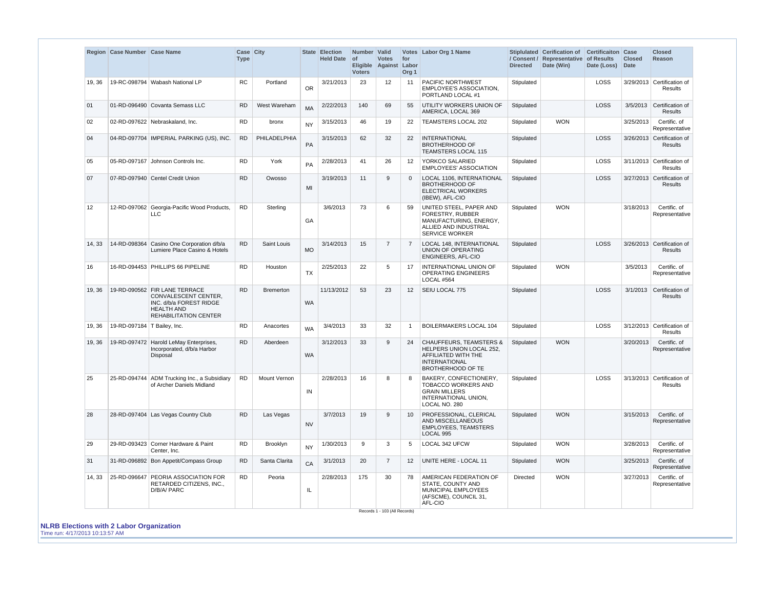|        | Region Case Number Case Name  |                                                                                                                                       | Case City<br><b>Type</b> |                     |           | <b>State Election</b><br><b>Held Date</b> | Number Valid<br><b>of</b><br><b>Voters</b> | <b>Votes</b><br>Eligible Against Labor | for<br>Org 1    | Votes Labor Org 1 Name                                                                                                                           | <b>Directed</b> | Stiplulated Cerification of<br>/ Consent / Representative<br>Date (Win) | <b>Certificaiton Case</b><br>of Results<br>Date (Loss) | <b>Closed</b><br><b>Date</b> | <b>Closed</b><br>Reason                      |
|--------|-------------------------------|---------------------------------------------------------------------------------------------------------------------------------------|--------------------------|---------------------|-----------|-------------------------------------------|--------------------------------------------|----------------------------------------|-----------------|--------------------------------------------------------------------------------------------------------------------------------------------------|-----------------|-------------------------------------------------------------------------|--------------------------------------------------------|------------------------------|----------------------------------------------|
| 19, 36 |                               | 19-RC-098794   Wabash National LP                                                                                                     | <b>RC</b>                | Portland            | <b>OR</b> | 3/21/2013                                 | 23                                         | $12 \overline{ }$                      | 11              | <b>PACIFIC NORTHWEST</b><br>EMPLOYEE'S ASSOCIATION,<br>PORTLAND LOCAL #1                                                                         | Stipulated      |                                                                         | LOSS                                                   |                              | 3/29/2013 Certification of<br><b>Results</b> |
| 01     |                               | 01-RD-096490 Covanta Semass LLC                                                                                                       | <b>RD</b>                | West Wareham        | <b>MA</b> | 2/22/2013                                 | 140                                        | 69                                     | 55              | <b>UTILITY WORKERS UNION OF</b><br>AMERICA, LOCAL 369                                                                                            | Stipulated      |                                                                         | LOSS                                                   | 3/5/2013                     | Certification of<br>Results                  |
| 02     |                               | 02-RD-097622 Nebraskaland, Inc.                                                                                                       | <b>RD</b>                | bronx               | <b>NY</b> | 3/15/2013                                 | 46                                         | 19                                     | 22              | TEAMSTERS LOCAL 202                                                                                                                              | Stipulated      | <b>WON</b>                                                              |                                                        | 3/25/2013                    | Certific. of<br>Representative               |
| 04     |                               | 04-RD-097704   IMPERIAL PARKING (US), INC.                                                                                            | <b>RD</b>                | PHILADELPHIA        | PA        | 3/15/2013                                 | 62                                         | 32                                     | 22              | <b>INTERNATIONAL</b><br><b>BROTHERHOOD OF</b><br><b>TEAMSTERS LOCAL 115</b>                                                                      | Stipulated      |                                                                         | LOSS                                                   |                              | 3/26/2013 Certification of<br><b>Results</b> |
| 05     |                               | 05-RD-097167 Johnson Controls Inc.                                                                                                    | <b>RD</b>                | York                | PA        | 2/28/2013                                 | 41                                         | 26                                     | 12              | YORKCO SALARIED<br><b>EMPLOYEES' ASSOCIATION</b>                                                                                                 | Stipulated      |                                                                         | LOSS                                                   |                              | 3/11/2013 Certification of<br>Results        |
| 07     |                               | 07-RD-097940 Centel Credit Union                                                                                                      | <b>RD</b>                | Owosso              | MI        | 3/19/2013                                 | 11                                         | 9                                      | $\Omega$        | LOCAL 1106, INTERNATIONAL<br><b>BROTHERHOOD OF</b><br><b>ELECTRICAL WORKERS</b><br>(IBEW), AFL-CIO                                               | Stipulated      |                                                                         | <b>LOSS</b>                                            |                              | 3/27/2013 Certification of<br><b>Results</b> |
| 12     |                               | 12-RD-097062 Georgia-Pacific Wood Products,<br>LLC                                                                                    | <b>RD</b>                | Sterling            | GA        | 3/6/2013                                  | 73                                         | 6                                      | 59              | UNITED STEEL, PAPER AND<br>FORESTRY, RUBBER<br>MANUFACTURING, ENERGY,<br>ALLIED AND INDUSTRIAL<br><b>SERVICE WORKER</b>                          | Stipulated      | <b>WON</b>                                                              |                                                        | 3/18/2013                    | Certific. of<br>Representative               |
| 14, 33 |                               | 14-RD-098364 Casino One Corporation d/b/a<br>Lumiere Place Casino & Hotels                                                            | <b>RD</b>                | Saint Louis         | <b>MO</b> | 3/14/2013                                 | 15                                         | $\overline{7}$                         | 7               | <b>LOCAL 148, INTERNATIONAL</b><br>UNION OF OPERATING<br>ENGINEERS, AFL-CIO                                                                      | Stipulated      |                                                                         | LOSS                                                   |                              | 3/26/2013 Certification of<br><b>Results</b> |
| 16     |                               | 16-RD-094453 PHILLIPS 66 PIPELINE                                                                                                     | <b>RD</b>                | Houston             | <b>TX</b> | 2/25/2013                                 | 22                                         | 5                                      | 17              | INTERNATIONAL UNION OF<br><b>OPERATING ENGINEERS</b><br><b>LOCAL #564</b>                                                                        | Stipulated      | <b>WON</b>                                                              |                                                        | 3/5/2013                     | Certific. of<br>Representative               |
| 19, 36 |                               | 19-RD-090562 FIR LANE TERRACE<br>CONVALESCENT CENTER,<br>INC. d/b/a FOREST RIDGE<br><b>HEALTH AND</b><br><b>REHABILITATION CENTER</b> | <b>RD</b>                | <b>Bremerton</b>    | <b>WA</b> | 11/13/2012                                | 53                                         | 23                                     | 12 <sup>°</sup> | SEIU LOCAL 775                                                                                                                                   | Stipulated      |                                                                         | LOSS                                                   | 3/1/2013                     | Certification of<br><b>Results</b>           |
| 19, 36 | 19-RD-097184   T Bailey, Inc. |                                                                                                                                       | <b>RD</b>                | Anacortes           | <b>WA</b> | 3/4/2013                                  | 33                                         | 32                                     | $\overline{1}$  | <b>BOILERMAKERS LOCAL 104</b>                                                                                                                    | Stipulated      |                                                                         | LOSS                                                   |                              | 3/12/2013 Certification of<br><b>Results</b> |
| 19, 36 |                               | 19-RD-097472 Harold LeMay Enterprises,<br>Incorporated, d/b/a Harbor<br>Disposal                                                      | <b>RD</b>                | Aberdeen            | <b>WA</b> | 3/12/2013                                 | 33                                         | 9                                      | 24              | <b>CHAUFFEURS, TEAMSTERS &amp;</b><br><b>HELPERS UNION LOCAL 252.</b><br>AFFILIATED WITH THE<br><b>INTERNATIONAL</b><br><b>BROTHERHOOD OF TE</b> | Stipulated      | <b>WON</b>                                                              |                                                        | 3/20/2013                    | Certific. of<br>Representative               |
| 25     |                               | 25-RD-094744 ADM Trucking Inc., a Subsidiary<br>of Archer Daniels Midland                                                             | <b>RD</b>                | <b>Mount Vernon</b> | IN        | 2/28/2013                                 | 16                                         | 8                                      | 8               | BAKERY, CONFECTIONERY,<br><b>TOBACCO WORKERS AND</b><br><b>GRAIN MILLERS</b><br>INTERNATIONAL UNION,<br>LOCAL NO. 280                            | Stipulated      |                                                                         | LOSS                                                   |                              | 3/13/2013 Certification of<br>Results        |
| 28     |                               | 28-RD-097404 Las Vegas Country Club                                                                                                   | <b>RD</b>                | Las Vegas           | <b>NV</b> | 3/7/2013                                  | 19                                         | 9                                      | 10              | PROFESSIONAL, CLERICAL<br>AND MISCELLANEOUS<br><b>EMPLOYEES, TEAMSTERS</b><br>LOCAL 995                                                          | Stipulated      | <b>WON</b>                                                              |                                                        | 3/15/2013                    | Certific. of<br>Representative               |
| 29     |                               | 29-RD-093423 Corner Hardware & Paint<br>Center, Inc.                                                                                  | <b>RD</b>                | Brooklyn            | <b>NY</b> | 1/30/2013                                 | 9                                          | 3                                      | 5               | LOCAL 342 UFCW                                                                                                                                   | Stipulated      | <b>WON</b>                                                              |                                                        | 3/28/2013                    | Certific, of<br>Representative               |
| 31     |                               | 31-RD-096892 Bon Appetit/Compass Group                                                                                                | <b>RD</b>                | Santa Clarita       | CA        | 3/1/2013                                  | 20                                         | $\overline{7}$                         | 12              | UNITE HERE - LOCAL 11                                                                                                                            | Stipulated      | <b>WON</b>                                                              |                                                        | 3/25/2013                    | Certific. of<br>Representative               |
| 14, 33 |                               | 25-RD-096647 PEORIA ASSOCIATION FOR<br>RETARDED CITIZENS, INC.,<br>D/B/A/ PARC                                                        | <b>RD</b>                | Peoria              | IL.       | 2/28/2013                                 | 175                                        | 30<br>Records 1 - 103 (All Records)    | 78              | AMERICAN FEDERATION OF<br><b>STATE, COUNTY AND</b><br>MUNICIPAL EMPLOYEES<br>(AFSCME), COUNCIL 31,<br>AFL-CIO                                    | Directed        | <b>WON</b>                                                              |                                                        | 3/27/2013                    | Certific. of<br>Representative               |

**NLRB Elections with 2 Labor Organization**

Time run: 4/17/2013 10:13:57 AM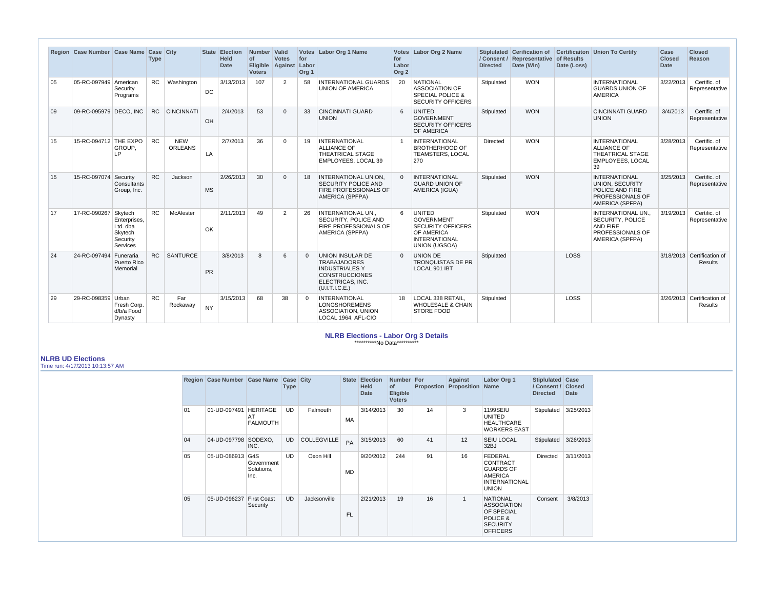|    | Region Case Number Case Name Case City |                                                             | <b>Type</b> |                              |           | State Election<br><b>Held</b><br><b>Date</b> | Number Valid<br>of<br>Eligible Against Labor<br><b>Voters</b> | <b>Votes</b> | for<br>Org <sub>1</sub> | Votes Labor Org 1 Name                                                                                                          | for<br>Labor<br>Org <sub>2</sub> | Votes Labor Org 2 Name                                                                                                       | <b>Directed</b> | / Consent / Representative of Results<br>Date (Win) | Date (Loss) | Stiplulated Cerification of Certificaiton Union To Certify                                                             | Case<br><b>Closed</b><br><b>Date</b> | <b>Closed</b><br>Reason                      |
|----|----------------------------------------|-------------------------------------------------------------|-------------|------------------------------|-----------|----------------------------------------------|---------------------------------------------------------------|--------------|-------------------------|---------------------------------------------------------------------------------------------------------------------------------|----------------------------------|------------------------------------------------------------------------------------------------------------------------------|-----------------|-----------------------------------------------------|-------------|------------------------------------------------------------------------------------------------------------------------|--------------------------------------|----------------------------------------------|
| 05 | 05-RC-097949 American                  | Security<br>Programs                                        | <b>RC</b>   | Washington                   | DC        | 3/13/2013                                    | 107                                                           | 2            | 58                      | <b>INTERNATIONAL GUARDS</b><br><b>UNION OF AMERICA</b>                                                                          | 20                               | <b>NATIONAL</b><br><b>ASSOCIATION OF</b><br><b>SPECIAL POLICE &amp;</b><br><b>SECURITY OFFICERS</b>                          | Stipulated      | <b>WON</b>                                          |             | <b>INTERNATIONAL</b><br><b>GUARDS UNION OF</b><br>AMERICA                                                              | 3/22/2013                            | Certific. of<br>Representative               |
| 09 | 09-RC-095979 DECO, INC                 |                                                             |             | RC CINCINNATI                | OH        | 2/4/2013                                     | 53                                                            | $\Omega$     | 33                      | <b>CINCINNATI GUARD</b><br><b>UNION</b>                                                                                         | 6                                | <b>UNITED</b><br><b>GOVERNMENT</b><br><b>SECURITY OFFICERS</b><br>OF AMERICA                                                 | Stipulated      | <b>WON</b>                                          |             | <b>CINCINNATI GUARD</b><br><b>UNION</b>                                                                                | 3/4/2013                             | Certific. of<br>Representative               |
| 15 | 15-RC-094712 THE EXPO                  | GROUP.<br>IP.                                               | <b>RC</b>   | <b>NEW</b><br><b>ORLEANS</b> | LA        | 2/7/2013                                     | 36                                                            | $\Omega$     | 19                      | <b>INTERNATIONAL</b><br><b>ALLIANCE OF</b><br><b>THEATRICAL STAGE</b><br>EMPLOYEES, LOCAL 39                                    |                                  | <b>INTERNATIONAL</b><br><b>BROTHERHOOD OF</b><br>TEAMSTERS, LOCAL<br>270                                                     | <b>Directed</b> | <b>WON</b>                                          |             | <b>INTERNATIONAL</b><br><b>ALLIANCE OF</b><br><b>THEATRICAL STAGE</b><br><b>EMPLOYEES, LOCAL</b><br>39                 | 3/28/2013                            | Certific. of<br>Representative               |
| 15 | 15-RC-097074 Security                  | Consultants<br>Group, Inc.                                  | RC.         | Jackson                      | <b>MS</b> | 2/26/2013                                    | 30                                                            | $\Omega$     | 18                      | <b>INTERNATIONAL UNION</b><br><b>SECURITY POLICE AND</b><br>FIRE PROFESSIONALS OF<br>AMERICA (SPFPA)                            | $\Omega$                         | <b>INTERNATIONAL</b><br><b>GUARD UNION OF</b><br>AMERICA (IGUA)                                                              | Stipulated      | <b>WON</b>                                          |             | <b>INTERNATIONAL</b><br><b>UNION, SECURITY</b><br><b>POLICE AND FIRE</b><br><b>PROFESSIONALS OF</b><br>AMERICA (SPFPA) | 3/25/2013                            | Certific. of<br>Representative               |
| 17 | 17-RC-090267 Skytech                   | Enterprises.<br>Ltd. dba<br>Skytech<br>Security<br>Services | <b>RC</b>   | McAlester                    | OK        | 2/11/2013                                    | 49                                                            | 2            | 26                      | <b>INTERNATIONAL UN</b><br>SECURITY, POLICE AND<br>FIRE PROFESSIONALS OF<br>AMERICA (SPFPA)                                     | 6                                | <b>UNITED</b><br><b>GOVERNMENT</b><br><b>SECURITY OFFICERS</b><br>OF AMERICA<br><b>INTERNATIONAL</b><br><b>UNION (UGSOA)</b> | Stipulated      | <b>WON</b>                                          |             | <b>INTERNATIONAL UN</b><br><b>SECURITY, POLICE</b><br><b>AND FIRE</b><br>PROFESSIONALS OF<br>AMERICA (SPFPA)           | 3/19/2013                            | Certific. of<br>Representative               |
| 24 | 24-RC-097494                           | Funeraria<br>Puerto Rico<br>Memorial                        | <b>RC</b>   | <b>SANTURCE</b>              | <b>PR</b> | 3/8/2013                                     | $\mathsf{R}$                                                  | 6            |                         | UNION INSULAR DE<br><b>TRABAJADORES</b><br><b>INDUSTRIALES Y</b><br><b>CONSTRUCCIONES</b><br>ELECTRICAS, INC.<br>(U.I.T.I.C.E.) | $\Omega$                         | <b>UNION DE</b><br><b>TRONQUISTAS DE PR</b><br>LOCAL 901 IBT                                                                 | Stipulated      |                                                     | <b>LOSS</b> |                                                                                                                        |                                      | 3/18/2013 Certification of<br><b>Results</b> |
| 29 | 29-RC-098359 Urban                     | Fresh Corp.<br>d/b/a Food<br>Dynasty                        | <b>RC</b>   | Far<br>Rockaway              | <b>NY</b> | 3/15/2013                                    | 68                                                            | 38           | $\Omega$                | <b>INTERNATIONAL</b><br><b>LONGSHOREMENS</b><br>ASSOCIATION, UNION<br>LOCAL 1964, AFL-CIO                                       | 18                               | LOCAL 338 RETAIL.<br><b>WHOLESALE &amp; CHAIN</b><br><b>STORE FOOD</b>                                                       | Stipulated      |                                                     | LOSS        |                                                                                                                        |                                      | 3/26/2013 Certification of<br><b>Results</b> |

## **NLRB Elections - Labor Org 3 Details** \*\*\*\*\*\*\*\*\*\*No Data\*\*\*\*\*\*\*\*\*\*

## **NLRB UD Elections**

Time run: 4/17/2013 10:13:57 AM

|    | <b>Region Case Number</b> | <b>Case Name</b>                         | Case City<br><b>Type</b> |                    |           | <b>State Election</b><br><b>Held</b><br><b>Date</b> | <b>Number</b><br>of<br><b>Eligible</b><br><b>Voters</b> | For<br><b>Propostion</b> | Against<br>Proposition | Labor Org 1<br><b>Name</b>                                                                               | Stiplulated<br>/ Consent /<br><b>Directed</b> | Case<br><b>Closed</b><br><b>Date</b> |
|----|---------------------------|------------------------------------------|--------------------------|--------------------|-----------|-----------------------------------------------------|---------------------------------------------------------|--------------------------|------------------------|----------------------------------------------------------------------------------------------------------|-----------------------------------------------|--------------------------------------|
| 01 | 01-UD-097491              | <b>HERITAGE</b><br>AT<br><b>FALMOUTH</b> | <b>UD</b>                | Falmouth           | <b>MA</b> | 3/14/2013                                           | 30                                                      | 14                       | 3                      | 1199SEIU<br><b>UNITED</b><br><b>HEALTHCARE</b><br><b>WORKERS EAST</b>                                    | Stipulated                                    | 3/25/2013                            |
| 04 | 04-UD-097798              | SODEXO.<br>INC.                          | <b>UD</b>                | <b>COLLEGVILLE</b> | PA        | 3/15/2013                                           | 60                                                      | 41                       | 12                     | <b>SEIU LOCAL</b><br>32BJ                                                                                | Stipulated                                    | 3/26/2013                            |
| 05 | 05-UD-086913              | G4S<br>Government<br>Solutions,<br>Inc.  | <b>UD</b>                | Oxon Hill          | MD        | 9/20/2012                                           | 244                                                     | 91                       | 16                     | FEDERAL<br><b>CONTRACT</b><br><b>GUARDS OF</b><br><b>AMERICA</b><br><b>INTERNATIONAL</b><br><b>UNION</b> | <b>Directed</b>                               | 3/11/2013                            |
| 05 | 05-UD-096237              | <b>First Coast</b><br>Security           | <b>UD</b>                | Jacksonville       | FL.       | 2/21/2013                                           | 19                                                      | 16                       | $\mathbf{1}$           | <b>NATIONAL</b><br><b>ASSOCIATION</b><br>OF SPECIAL<br>POLICE &<br><b>SECURITY</b><br><b>OFFICERS</b>    | Consent                                       | 3/8/2013                             |